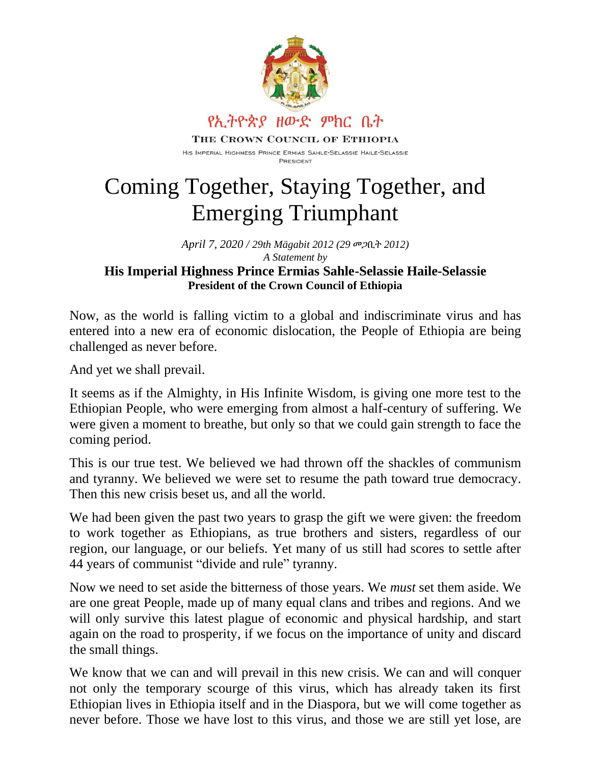

## Coming Together, Staying Together, and Emerging Triumphant

*April 7, 2020 / 29th Mägabit 2012 (29* መጋቢት *2012) A Statement by*

## **His Imperial Highness Prince Ermias Sahle-Selassie Haile-Selassie President of the Crown Council of Ethiopia**

Now, as the world is falling victim to a global and indiscriminate virus and has entered into a new era of economic dislocation, the People of Ethiopia are being challenged as never before.

And yet we shall prevail.

It seems as if the Almighty, in His Infinite Wisdom, is giving one more test to the Ethiopian People, who were emerging from almost a half-century of suffering. We were given a moment to breathe, but only so that we could gain strength to face the coming period.

This is our true test. We believed we had thrown off the shackles of communism and tyranny. We believed we were set to resume the path toward true democracy. Then this new crisis beset us, and all the world.

We had been given the past two years to grasp the gift we were given: the freedom to work together as Ethiopians, as true brothers and sisters, regardless of our region, our language, or our beliefs. Yet many of us still had scores to settle after 44 years of communist "divide and rule" tyranny.

Now we need to set aside the bitterness of those years. We *must* set them aside. We are one great People, made up of many equal clans and tribes and regions. And we will only survive this latest plague of economic and physical hardship, and start again on the road to prosperity, if we focus on the importance of unity and discard the small things.

We know that we can and will prevail in this new crisis. We can and will conquer not only the temporary scourge of this virus, which has already taken its first Ethiopian lives in Ethiopia itself and in the Diaspora, but we will come together as never before. Those we have lost to this virus, and those we are still yet lose, are